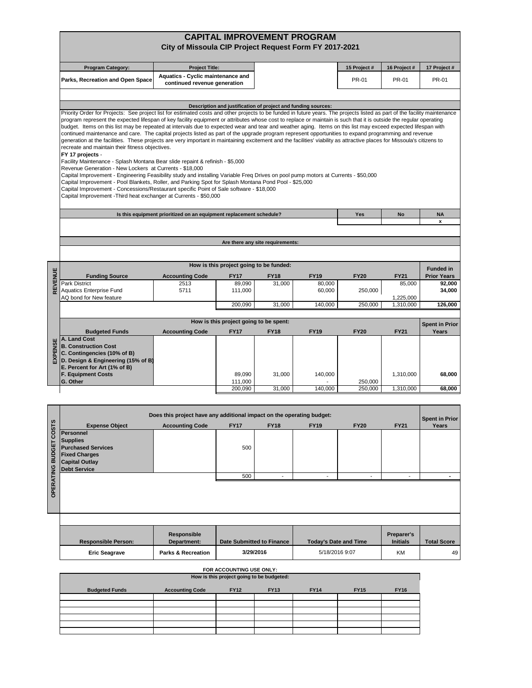# **CAPITAL IMPROVEMENT PROGRAM City of Missoula CIP Project Request Form FY 2017-2021**

| <b>Program Category:</b>                                                                                                                                                                                                                                                                                                                                                                                                                                                                                                                                                                                                                                                                                                                                                                                                                                                                                                                                                                                                                                                                                                                                                                                                                                                                                                                                                                                          | <b>Project Title:</b>                                                 |                       |                                         |                                                               | 15 Project # | 16 Project #          | 17 Project #                   |
|-------------------------------------------------------------------------------------------------------------------------------------------------------------------------------------------------------------------------------------------------------------------------------------------------------------------------------------------------------------------------------------------------------------------------------------------------------------------------------------------------------------------------------------------------------------------------------------------------------------------------------------------------------------------------------------------------------------------------------------------------------------------------------------------------------------------------------------------------------------------------------------------------------------------------------------------------------------------------------------------------------------------------------------------------------------------------------------------------------------------------------------------------------------------------------------------------------------------------------------------------------------------------------------------------------------------------------------------------------------------------------------------------------------------|-----------------------------------------------------------------------|-----------------------|-----------------------------------------|---------------------------------------------------------------|--------------|-----------------------|--------------------------------|
| Parks, Recreation and Open Space                                                                                                                                                                                                                                                                                                                                                                                                                                                                                                                                                                                                                                                                                                                                                                                                                                                                                                                                                                                                                                                                                                                                                                                                                                                                                                                                                                                  | Aquatics - Cyclic maintenance and<br>continued revenue generation     |                       |                                         |                                                               | PR-01        | <b>PR-01</b>          | PR-01                          |
|                                                                                                                                                                                                                                                                                                                                                                                                                                                                                                                                                                                                                                                                                                                                                                                                                                                                                                                                                                                                                                                                                                                                                                                                                                                                                                                                                                                                                   |                                                                       |                       |                                         |                                                               |              |                       |                                |
|                                                                                                                                                                                                                                                                                                                                                                                                                                                                                                                                                                                                                                                                                                                                                                                                                                                                                                                                                                                                                                                                                                                                                                                                                                                                                                                                                                                                                   |                                                                       |                       |                                         | Description and justification of project and funding sources: |              |                       |                                |
| Priority Order for Projects: See project list for estimated costs and other projects to be funded in future years. The projects listed as part of the facility maintenance<br>program represent the expected lifespan of key facility equipment or attributes whose cost to replace or maintain is such that it is outside the regular operating<br>budget. Items on this list may be repeated at intervals due to expected wear and tear and weather aging. Items on this list may exceed expected lifespan with<br>continued maintenance and care. The capital projects listed as part of the upgrade program represent opportunities to expand programming and revenue<br>generation at the facilities. These projects are very important in maintaining excitement and the facilities' viability as attractive places for Missoula's citizens to<br>recreate and maintain their fitness objectives.<br>FY 17 projects -<br>Facility Maintenance - Splash Montana Bear slide repaint & refinish - \$5,000<br>Revenue Generation - New Lockers at Currents - \$18,000<br>Capital Improvement - Engineering Feasibility study and installing Variable Freq Drives on pool pump motors at Currents - \$50,000<br>Capital Improvement - Pool Blankets, Roller, and Parking Spot for Splash Montana Pond Pool - \$25,000<br>Capital Improvement - Concessions/Restaurant specific Point of Sale software - \$18,000 |                                                                       |                       |                                         |                                                               |              |                       |                                |
| Capital Improvement - Third heat exchanger at Currents - \$50,000                                                                                                                                                                                                                                                                                                                                                                                                                                                                                                                                                                                                                                                                                                                                                                                                                                                                                                                                                                                                                                                                                                                                                                                                                                                                                                                                                 |                                                                       |                       |                                         |                                                               |              |                       |                                |
|                                                                                                                                                                                                                                                                                                                                                                                                                                                                                                                                                                                                                                                                                                                                                                                                                                                                                                                                                                                                                                                                                                                                                                                                                                                                                                                                                                                                                   | Is this equipment prioritized on an equipment replacement schedule?   |                       |                                         |                                                               | Yes          | <b>No</b>             | <b>NA</b><br>x                 |
|                                                                                                                                                                                                                                                                                                                                                                                                                                                                                                                                                                                                                                                                                                                                                                                                                                                                                                                                                                                                                                                                                                                                                                                                                                                                                                                                                                                                                   |                                                                       |                       |                                         |                                                               |              |                       |                                |
|                                                                                                                                                                                                                                                                                                                                                                                                                                                                                                                                                                                                                                                                                                                                                                                                                                                                                                                                                                                                                                                                                                                                                                                                                                                                                                                                                                                                                   |                                                                       |                       | Are there any site requirements:        |                                                               |              |                       |                                |
|                                                                                                                                                                                                                                                                                                                                                                                                                                                                                                                                                                                                                                                                                                                                                                                                                                                                                                                                                                                                                                                                                                                                                                                                                                                                                                                                                                                                                   |                                                                       |                       |                                         |                                                               |              |                       |                                |
|                                                                                                                                                                                                                                                                                                                                                                                                                                                                                                                                                                                                                                                                                                                                                                                                                                                                                                                                                                                                                                                                                                                                                                                                                                                                                                                                                                                                                   |                                                                       |                       |                                         |                                                               |              |                       |                                |
|                                                                                                                                                                                                                                                                                                                                                                                                                                                                                                                                                                                                                                                                                                                                                                                                                                                                                                                                                                                                                                                                                                                                                                                                                                                                                                                                                                                                                   |                                                                       |                       | How is this project going to be funded: |                                                               |              |                       | <b>Funded in</b>               |
| REVENUE<br><b>Funding Source</b><br>Park District                                                                                                                                                                                                                                                                                                                                                                                                                                                                                                                                                                                                                                                                                                                                                                                                                                                                                                                                                                                                                                                                                                                                                                                                                                                                                                                                                                 | <b>Accounting Code</b><br>2513                                        | <b>FY17</b><br>89.090 | <b>FY18</b><br>31,000                   | <b>FY19</b><br>80.000                                         | <b>FY20</b>  | <b>FY21</b><br>85,000 | <b>Prior Years</b><br>92,000   |
| <b>Aquatics Enterprise Fund</b><br>AQ bond for New feature                                                                                                                                                                                                                                                                                                                                                                                                                                                                                                                                                                                                                                                                                                                                                                                                                                                                                                                                                                                                                                                                                                                                                                                                                                                                                                                                                        | 5711                                                                  | 111,000               |                                         | 60,000                                                        | 250,000      | 1,225,000             | 34,000                         |
|                                                                                                                                                                                                                                                                                                                                                                                                                                                                                                                                                                                                                                                                                                                                                                                                                                                                                                                                                                                                                                                                                                                                                                                                                                                                                                                                                                                                                   |                                                                       | 200,090               | 31,000                                  | 140,000                                                       | 250,000      | 1,310,000             | 126,000                        |
|                                                                                                                                                                                                                                                                                                                                                                                                                                                                                                                                                                                                                                                                                                                                                                                                                                                                                                                                                                                                                                                                                                                                                                                                                                                                                                                                                                                                                   |                                                                       |                       | How is this project going to be spent:  |                                                               |              |                       |                                |
| <b>Budgeted Funds</b>                                                                                                                                                                                                                                                                                                                                                                                                                                                                                                                                                                                                                                                                                                                                                                                                                                                                                                                                                                                                                                                                                                                                                                                                                                                                                                                                                                                             | <b>Accounting Code</b>                                                | <b>FY17</b>           | <b>FY18</b>                             | <b>FY19</b>                                                   | <b>FY20</b>  | <b>FY21</b>           | <b>Spent in Prior</b><br>Years |
| A. Land Cost<br><b>EXPENS</b><br><b>B. Construction Cost</b><br>C. Contingencies (10% of B)<br>D. Design & Engineering (15% of B)<br>E. Percent for Art (1% of B)                                                                                                                                                                                                                                                                                                                                                                                                                                                                                                                                                                                                                                                                                                                                                                                                                                                                                                                                                                                                                                                                                                                                                                                                                                                 |                                                                       |                       |                                         |                                                               |              |                       |                                |
| <b>F. Equipment Costs</b><br>G. Other                                                                                                                                                                                                                                                                                                                                                                                                                                                                                                                                                                                                                                                                                                                                                                                                                                                                                                                                                                                                                                                                                                                                                                                                                                                                                                                                                                             |                                                                       | 89,090<br>111,000     | 31,000                                  | 140,000                                                       | 250,000      | 1,310,000             | 68,000                         |
|                                                                                                                                                                                                                                                                                                                                                                                                                                                                                                                                                                                                                                                                                                                                                                                                                                                                                                                                                                                                                                                                                                                                                                                                                                                                                                                                                                                                                   |                                                                       | 200,090               | 31,000                                  | 140,000                                                       | 250.000      | 1,310,000             | 68,000                         |
|                                                                                                                                                                                                                                                                                                                                                                                                                                                                                                                                                                                                                                                                                                                                                                                                                                                                                                                                                                                                                                                                                                                                                                                                                                                                                                                                                                                                                   |                                                                       |                       |                                         |                                                               |              |                       |                                |
|                                                                                                                                                                                                                                                                                                                                                                                                                                                                                                                                                                                                                                                                                                                                                                                                                                                                                                                                                                                                                                                                                                                                                                                                                                                                                                                                                                                                                   |                                                                       |                       |                                         |                                                               |              |                       |                                |
|                                                                                                                                                                                                                                                                                                                                                                                                                                                                                                                                                                                                                                                                                                                                                                                                                                                                                                                                                                                                                                                                                                                                                                                                                                                                                                                                                                                                                   | Does this project have any additional impact on the operating budget: |                       |                                         |                                                               |              |                       | <b>Spent in Prior</b>          |
| <b>Expense Object</b><br>Personnel<br><b>Supplies</b><br><b>Purchased Services</b><br><b>Fixed Charges</b><br><b>Capital Outlay</b><br><b>Debt Service</b>                                                                                                                                                                                                                                                                                                                                                                                                                                                                                                                                                                                                                                                                                                                                                                                                                                                                                                                                                                                                                                                                                                                                                                                                                                                        | <b>Accounting Code</b>                                                | <b>FY17</b><br>500    | <b>FY18</b>                             | <b>FY19</b>                                                   | <b>FY20</b>  | <b>FY21</b>           | Years                          |
|                                                                                                                                                                                                                                                                                                                                                                                                                                                                                                                                                                                                                                                                                                                                                                                                                                                                                                                                                                                                                                                                                                                                                                                                                                                                                                                                                                                                                   |                                                                       | 500                   |                                         |                                                               |              |                       |                                |
|                                                                                                                                                                                                                                                                                                                                                                                                                                                                                                                                                                                                                                                                                                                                                                                                                                                                                                                                                                                                                                                                                                                                                                                                                                                                                                                                                                                                                   |                                                                       |                       |                                         |                                                               |              |                       |                                |

| <b>Responsible Person:</b> | Responsible<br>Department:    | Date Submitted to Finance | <b>Today's Date and Time</b> | Preparer's<br><b>Initials</b> | <b>Total Score</b> |
|----------------------------|-------------------------------|---------------------------|------------------------------|-------------------------------|--------------------|
| <b>Eric Seagrave</b>       | <b>Parks &amp; Recreation</b> | 3/29/2016                 | 5/18/2016 9:07               | KM                            | 49                 |

| FOR ACCOUNTING USE ONLY:                  |                        |             |             |             |             |             |
|-------------------------------------------|------------------------|-------------|-------------|-------------|-------------|-------------|
| How is this project going to be budgeted: |                        |             |             |             |             |             |
| <b>Budgeted Funds</b>                     | <b>Accounting Code</b> | <b>FY12</b> | <b>FY13</b> | <b>FY14</b> | <b>FY15</b> | <b>FY16</b> |
|                                           |                        |             |             |             |             |             |
|                                           |                        |             |             |             |             |             |
|                                           |                        |             |             |             |             |             |
|                                           |                        |             |             |             |             |             |
|                                           |                        |             |             |             |             |             |
|                                           |                        |             |             |             |             |             |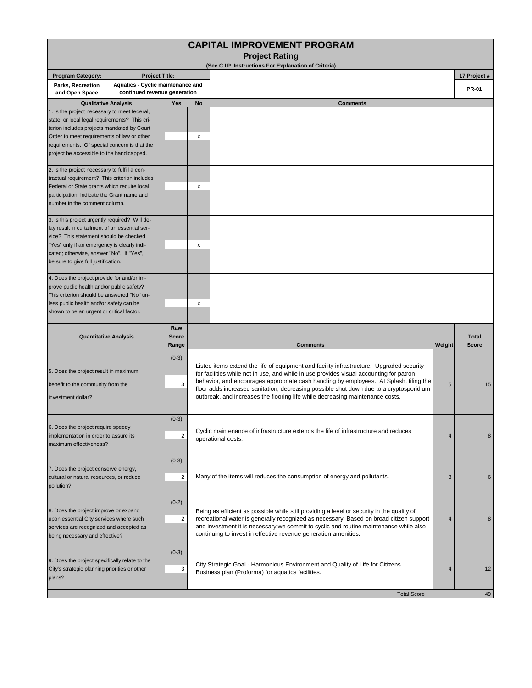|                                                                                                                                                                                                                                                                                        |                                                                   |                                    | <b>CAPITAL IMPROVEMENT PROGRAM</b>                                                                                                                                                                                                                                                                                                                                                                                                                        |        |                              |
|----------------------------------------------------------------------------------------------------------------------------------------------------------------------------------------------------------------------------------------------------------------------------------------|-------------------------------------------------------------------|------------------------------------|-----------------------------------------------------------------------------------------------------------------------------------------------------------------------------------------------------------------------------------------------------------------------------------------------------------------------------------------------------------------------------------------------------------------------------------------------------------|--------|------------------------------|
|                                                                                                                                                                                                                                                                                        |                                                                   |                                    | <b>Project Rating</b><br>(See C.I.P. Instructions For Explanation of Criteria)                                                                                                                                                                                                                                                                                                                                                                            |        |                              |
| <b>Program Category:</b>                                                                                                                                                                                                                                                               | <b>Project Title:</b>                                             |                                    |                                                                                                                                                                                                                                                                                                                                                                                                                                                           |        | 17 Project #                 |
| Parks, Recreation<br>and Open Space                                                                                                                                                                                                                                                    | Aquatics - Cyclic maintenance and<br>continued revenue generation |                                    |                                                                                                                                                                                                                                                                                                                                                                                                                                                           |        | <b>PR-01</b>                 |
| <b>Qualitative Analysis</b>                                                                                                                                                                                                                                                            |                                                                   | <b>Yes</b>                         | No<br><b>Comments</b>                                                                                                                                                                                                                                                                                                                                                                                                                                     |        |                              |
| 1. Is the project necessary to meet federal,<br>state, or local legal requirements? This cri-<br>terion includes projects mandated by Court<br>Order to meet requirements of law or other<br>requirements. Of special concern is that the<br>project be accessible to the handicapped. |                                                                   |                                    | x                                                                                                                                                                                                                                                                                                                                                                                                                                                         |        |                              |
| 2. Is the project necessary to fulfill a con-<br>tractual requirement? This criterion includes<br>Federal or State grants which require local<br>participation. Indicate the Grant name and<br>number in the comment column.                                                           |                                                                   |                                    | x                                                                                                                                                                                                                                                                                                                                                                                                                                                         |        |                              |
| 3. Is this project urgently required? Will de-<br>lay result in curtailment of an essential ser-<br>vice? This statement should be checked<br>"Yes" only if an emergency is clearly indi-<br>cated; otherwise, answer "No". If "Yes",<br>be sure to give full justification.           |                                                                   |                                    | х                                                                                                                                                                                                                                                                                                                                                                                                                                                         |        |                              |
| 4. Does the project provide for and/or im-<br>prove public health and/or public safety?<br>This criterion should be answered "No" un-<br>less public health and/or safety can be<br>shown to be an urgent or critical factor.                                                          |                                                                   |                                    | x                                                                                                                                                                                                                                                                                                                                                                                                                                                         |        |                              |
| <b>Quantitative Analysis</b>                                                                                                                                                                                                                                                           |                                                                   | Raw<br><b>Score</b><br>Range       | <b>Comments</b>                                                                                                                                                                                                                                                                                                                                                                                                                                           | Weight | <b>Total</b><br><b>Score</b> |
| 5. Does the project result in maximum<br>benefit to the community from the<br>investment dollar?                                                                                                                                                                                       |                                                                   | $(0-3)$<br>3                       | Listed items extend the life of equipment and facility infrastructure. Upgraded security<br>for facilities while not in use, and while in use provides visual accounting for patron<br>behavior, and encourages appropriate cash handling by employees. At Splash, tiling the<br>floor adds increased sanitation, decreasing possible shut down due to a cryptosporidium<br>outbreak, and increases the flooring life while decreasing maintenance costs. | 5      | 15                           |
| b. Does the project require speedy<br>implementation in order to assure its<br>maximum effectiveness?                                                                                                                                                                                  |                                                                   | $(0-3)$<br>2                       | Cyclic maintenance of infrastructure extends the life of infrastructure and reduces<br>4<br>operational costs.                                                                                                                                                                                                                                                                                                                                            |        | 8                            |
| 7. Does the project conserve energy,<br>cultural or natural resources, or reduce<br>pollution?                                                                                                                                                                                         |                                                                   | $(0-3)$<br>$\overline{\mathbf{c}}$ | Many of the items will reduces the consumption of energy and pollutants.<br>3                                                                                                                                                                                                                                                                                                                                                                             |        | 6                            |
| 8. Does the project improve or expand<br>upon essential City services where such<br>services are recognized and accepted as<br>being necessary and effective?                                                                                                                          |                                                                   | $(0-2)$<br>$\overline{c}$          | Being as efficient as possible while still providing a level or security in the quality of<br>recreational water is generally recognized as necessary. Based on broad citizen support<br>4<br>and investment it is necessary we commit to cyclic and routine maintenance while also<br>continuing to invest in effective revenue generation amenities.                                                                                                    |        | 8                            |
| 9. Does the project specifically relate to the<br>City's strategic planning priorities or other<br>plans?                                                                                                                                                                              |                                                                   | $(0-3)$<br>3                       | City Strategic Goal - Harmonious Environment and Quality of Life for Citizens<br>Business plan (Proforma) for aquatics facilities.                                                                                                                                                                                                                                                                                                                        | 4      | 12                           |
|                                                                                                                                                                                                                                                                                        |                                                                   |                                    | <b>Total Score</b>                                                                                                                                                                                                                                                                                                                                                                                                                                        |        | 49                           |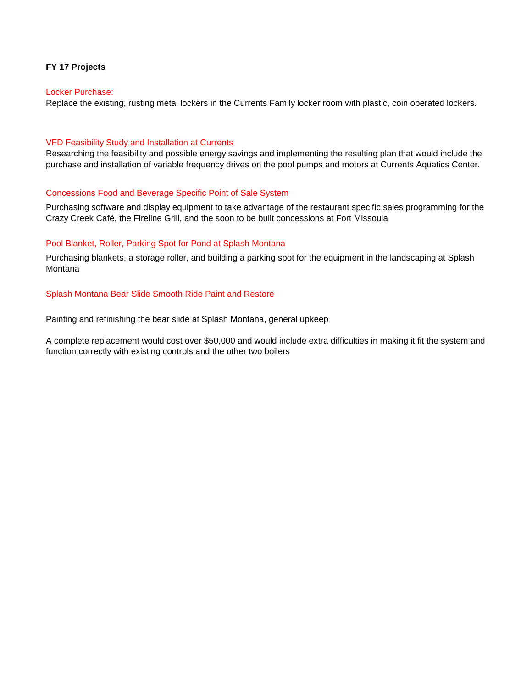## **FY 17 Projects**

### Locker Purchase:

Replace the existing, rusting metal lockers in the Currents Family locker room with plastic, coin operated lockers.

### VFD Feasibility Study and Installation at Currents

Researching the feasibility and possible energy savings and implementing the resulting plan that would include the purchase and installation of variable frequency drives on the pool pumps and motors at Currents Aquatics Center.

### Concessions Food and Beverage Specific Point of Sale System

Purchasing software and display equipment to take advantage of the restaurant specific sales programming for the Crazy Creek Café, the Fireline Grill, and the soon to be built concessions at Fort Missoula

### Pool Blanket, Roller, Parking Spot for Pond at Splash Montana

Purchasing blankets, a storage roller, and building a parking spot for the equipment in the landscaping at Splash Montana

### Splash Montana Bear Slide Smooth Ride Paint and Restore

Painting and refinishing the bear slide at Splash Montana, general upkeep

A complete replacement would cost over \$50,000 and would include extra difficulties in making it fit the system and function correctly with existing controls and the other two boilers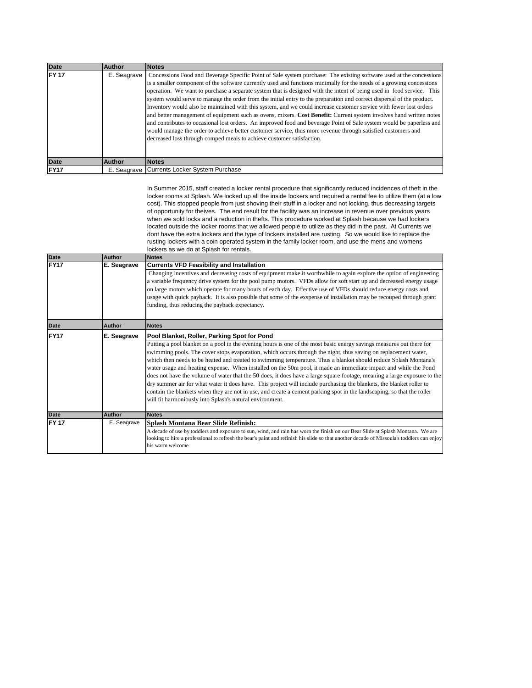| <b>Date</b> | Author      | <b>Notes</b>                                                                                                                                                                                                                                                                                                                                                                                                                                                                                                                                                                                                                                                                                                                                                                                                                                                                                                                                                                                                                                                |
|-------------|-------------|-------------------------------------------------------------------------------------------------------------------------------------------------------------------------------------------------------------------------------------------------------------------------------------------------------------------------------------------------------------------------------------------------------------------------------------------------------------------------------------------------------------------------------------------------------------------------------------------------------------------------------------------------------------------------------------------------------------------------------------------------------------------------------------------------------------------------------------------------------------------------------------------------------------------------------------------------------------------------------------------------------------------------------------------------------------|
| <b>FY17</b> | E. Seagrave | Concessions Food and Beverage Specific Point of Sale system purchase: The existing software used at the concessions<br>is a smaller component of the software currently used and functions minimally for the needs of a growing concessions<br>operation. We want to purchase a separate system that is designed with the intent of being used in food service. This<br>system would serve to manage the order from the initial entry to the preparation and correct dispersal of the product.<br>Inventory would also be maintained with this system, and we could increase customer service with fewer lost orders<br>and better management of equipment such as ovens, mixers. Cost Benefit: Current system involves hand written notes<br>and contributes to occasional lost orders. An improved food and beverage Point of Sale system would be paperless and<br>would manage the order to achieve better customer service, thus more revenue through satisfied customers and<br>decreased loss through comped meals to achieve customer satisfaction. |
|             |             |                                                                                                                                                                                                                                                                                                                                                                                                                                                                                                                                                                                                                                                                                                                                                                                                                                                                                                                                                                                                                                                             |
| <b>Date</b> | Author      | <b>Notes</b>                                                                                                                                                                                                                                                                                                                                                                                                                                                                                                                                                                                                                                                                                                                                                                                                                                                                                                                                                                                                                                                |
| FY17        | E. Seagrave | Currents Locker System Purchase                                                                                                                                                                                                                                                                                                                                                                                                                                                                                                                                                                                                                                                                                                                                                                                                                                                                                                                                                                                                                             |

In Summer 2015, staff created a locker rental procedure that significantly reduced incidences of theft in the locker rooms at Splash. We locked up all the inside lockers and required a rental fee to utilize them (at a low cost). This stopped people from just shoving their stuff in a locker and not locking, thus decreasing targets of opportunity for theives. The end result for the facility was an increase in revenue over previous years when we sold locks and a reduction in thefts. This procedure worked at Splash because we had lockers located outside the locker rooms that we allowed people to utilize as they did in the past. At Currents we dont have the extra lockers and the type of lockers installed are rusting. So we would like to replace the rusting lockers with a coin operated system in the family locker room, and use the mens and womens lockers as we do at Splash for rentals.

| <b>Date</b>      | Author        | <b>Notes</b>                                                                                                                              |  |  |  |  |
|------------------|---------------|-------------------------------------------------------------------------------------------------------------------------------------------|--|--|--|--|
| FY <sub>17</sub> | E. Seagrave   | <b>Currents VFD Feasibility and Installation</b>                                                                                          |  |  |  |  |
|                  |               | Changing incentives and decreasing costs of equipment make it worthwhile to again explore the option of engineering                       |  |  |  |  |
|                  |               | a variable frequency drive system for the pool pump motors. VFDs allow for soft start up and decreased energy usage                       |  |  |  |  |
|                  |               | on large motors which operate for many hours of each day. Effective use of VFDs should reduce energy costs and                            |  |  |  |  |
|                  |               | usage with quick payback. It is also possible that some of the exspense of installation may be recouped through grant                     |  |  |  |  |
|                  |               | funding, thus reducing the payback expectancy.                                                                                            |  |  |  |  |
|                  |               |                                                                                                                                           |  |  |  |  |
| <b>Date</b>      | Author        | <b>Notes</b>                                                                                                                              |  |  |  |  |
| <b>FY17</b>      | E. Seagrave   | Pool Blanket, Roller, Parking Spot for Pond                                                                                               |  |  |  |  |
|                  |               | Putting a pool blanket on a pool in the evening hours is one of the most basic energy savings measures out there for                      |  |  |  |  |
|                  |               | swimming pools. The cover stops evaporation, which occurs through the night, thus saving on replacement water,                            |  |  |  |  |
|                  |               | which then needs to be heated and treated to swimming temperature. Thus a blanket should reduce Splash Montana's                          |  |  |  |  |
|                  |               | water usage and heating expense. When installed on the 50m pool, it made an immediate impact and while the Pond                           |  |  |  |  |
|                  |               | does not have the volume of water that the 50 does, it does have a large square footage, meaning a large exposure to the                  |  |  |  |  |
|                  |               | dry summer air for what water it does have. This project will include purchasing the blankets, the blanket roller to                      |  |  |  |  |
|                  |               | contain the blankets when they are not in use, and create a cement parking spot in the landscaping, so that the roller                    |  |  |  |  |
|                  |               | will fit harmoniously into Splash's natural environment.                                                                                  |  |  |  |  |
|                  |               |                                                                                                                                           |  |  |  |  |
| <b>Date</b>      | <b>Author</b> | <b>Notes</b>                                                                                                                              |  |  |  |  |
| <b>FY 17</b>     | E. Seagrave   | Splash Montana Bear Slide Refinish:                                                                                                       |  |  |  |  |
|                  |               | A decade of use by toddlers and exposure to sun, wind, and rain has worn the finish on our Bear Slide at Splash Montana. We are           |  |  |  |  |
|                  |               | looking to hire a professional to refresh the bear's paint and refinish his slide so that another decade of Missoula's toddlers can enjoy |  |  |  |  |
|                  |               | his warm welcome.                                                                                                                         |  |  |  |  |